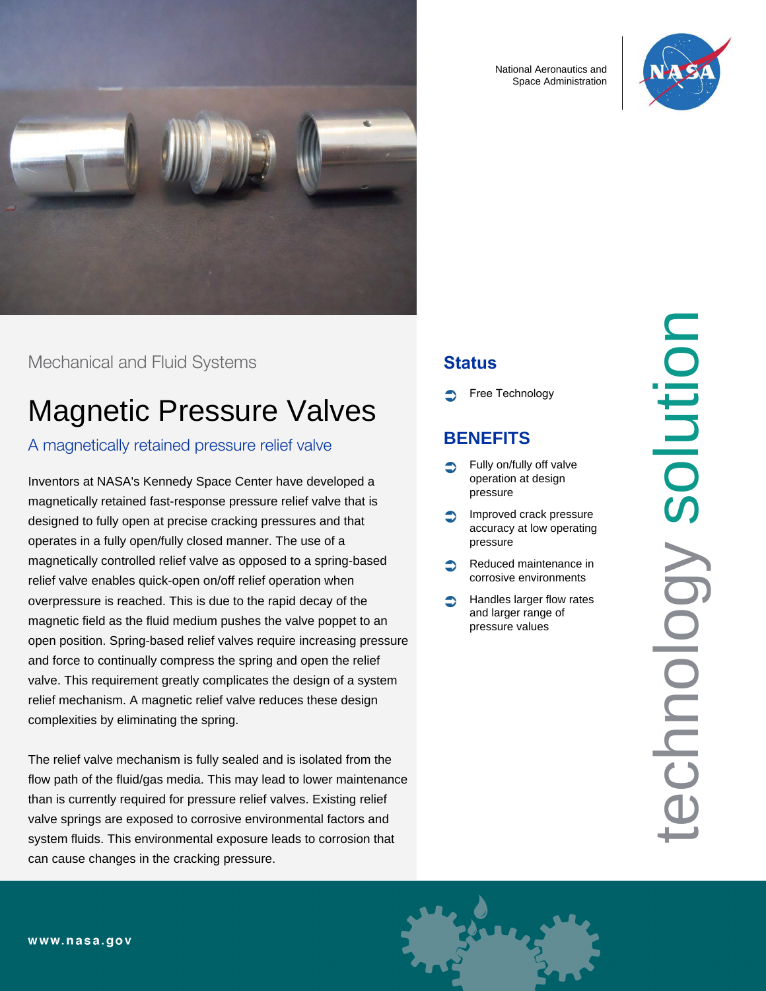

Mechanical and Fluid Systems

# Magnetic Pressure Valves

#### A magnetically retained pressure relief valve

Inventors at NASA's Kennedy Space Center have developed a magnetically retained fast-response pressure relief valve that is designed to fully open at precise cracking pressures and that operates in a fully open/fully closed manner. The use of a magnetically controlled relief valve as opposed to a spring-based relief valve enables quick-open on/off relief operation when overpressure is reached. This is due to the rapid decay of the magnetic field as the fluid medium pushes the valve poppet to an open position. Spring-based relief valves require increasing pressure and force to continually compress the spring and open the relief valve. This requirement greatly complicates the design of a system relief mechanism. A magnetic relief valve reduces these design complexities by eliminating the spring.

The relief valve mechanism is fully sealed and is isolated from the flow path of the fluid/gas media. This may lead to lower maintenance than is currently required for pressure relief valves. Existing relief valve springs are exposed to corrosive environmental factors and system fluids. This environmental exposure leads to corrosion that can cause changes in the cracking pressure.

National Aeronautics and Space Administration



## **Status**

Free Technology

# **BENEFITS**

- Fully on/fully off valve operation at design pressure
- Improved crack pressure accuracy at low operating pressure
- Reduced maintenance in corrosive environments
- Handles larger flow rates and larger range of pressure values

technology solution Solution chnology